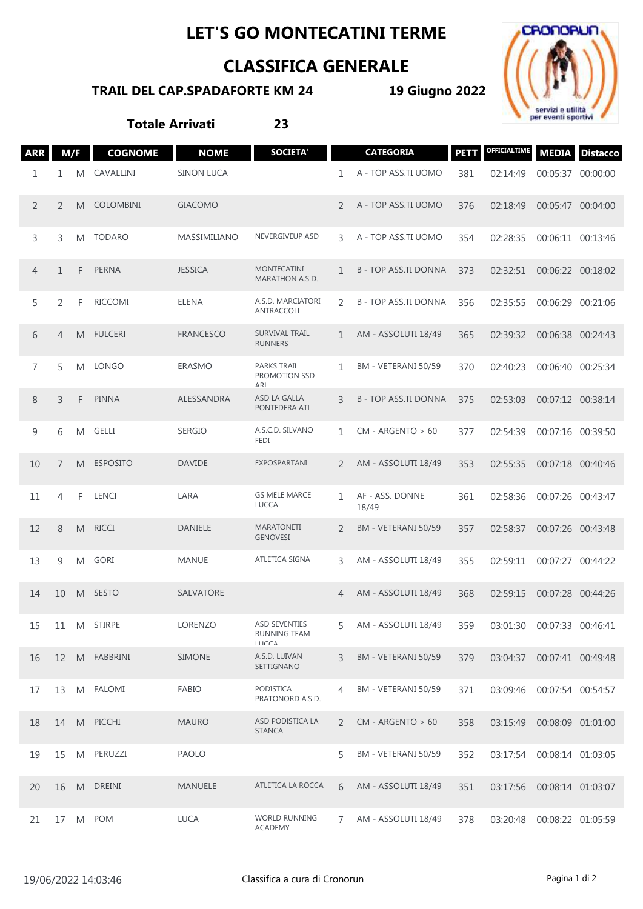## **LET'S GO MONTECATINI TERME**

## **CLASSIFICA GENERALE**

## **TRAIL DEL CAP.SPADAFORTE KM 24**

**19 Giugno 2022**



**Totale Arrivati 23**

| <b>ARR</b>     | M/F          |   | <b>COGNOME</b>   | <b>NOME</b>       | <b>SOCIETA'</b>                                                   |               | <b>CATEGORIA</b>           | <b>PETT</b> | <b>OFFICIALTIME</b>        | <b>MEDIA</b>      | <b>Distacco</b> |
|----------------|--------------|---|------------------|-------------------|-------------------------------------------------------------------|---------------|----------------------------|-------------|----------------------------|-------------------|-----------------|
| 1              | 1            | M | CAVALLINI        | <b>SINON LUCA</b> |                                                                   | 1             | A - TOP ASS.TI UOMO        | 381         | 02:14:49                   | 00:05:37 00:00:00 |                 |
| 2              | 2            | M | <b>COLOMBINI</b> | <b>GIACOMO</b>    |                                                                   | $\mathcal{P}$ | A - TOP ASS.TI UOMO        | 376         | 02:18:49                   | 00:05:47 00:04:00 |                 |
| 3              | 3            | M | <b>TODARO</b>    | MASSIMILIANO      | NEVERGIVEUP ASD                                                   | 3             | A - TOP ASS.TI UOMO        | 354         | 02:28:35                   | 00:06:11 00:13:46 |                 |
| $\overline{4}$ | $\mathbf{1}$ | F | <b>PERNA</b>     | <b>JESSICA</b>    | <b>MONTECATINI</b><br>MARATHON A.S.D.                             | 1             | <b>B-TOP ASS.TI DONNA</b>  | 373         | 02:32:51                   | 00:06:22 00:18:02 |                 |
| 5              | 2            | F | <b>RICCOMI</b>   | <b>ELENA</b>      | A.S.D. MARCIATORI<br>ANTRACCOLI                                   | 2             | <b>B-TOP ASS.TI DONNA</b>  | 356         | 02:35:55                   | 00:06:29          | 00:21:06        |
| 6              | 4            | M | <b>FULCERI</b>   | <b>FRANCESCO</b>  | <b>SURVIVAL TRAIL</b><br><b>RUNNERS</b>                           | 1             | <b>AM - ASSOLUTI 18/49</b> | 365         | 02:39:32                   | 00:06:38 00:24:43 |                 |
| $\overline{7}$ | 5            | M | <b>LONGO</b>     | <b>ERASMO</b>     | <b>PARKS TRAIL</b><br>PROMOTION SSD<br>$\Delta R$                 | 1             | BM - VETERANI 50/59        | 370         | 02:40:23                   | 00:06:40          | 00:25:34        |
| 8              | 3            | F | <b>PINNA</b>     | ALESSANDRA        | ASD LA GALLA<br>PONTEDERA ATL.                                    | 3             | <b>B-TOP ASS.TI DONNA</b>  | 375         | 02:53:03                   | 00:07:12 00:38:14 |                 |
| 9              | 6            | M | <b>GELLI</b>     | <b>SERGIO</b>     | A.S.C.D. SILVANO<br><b>FEDI</b>                                   | 1             | $CM - ARGENTO > 60$        | 377         | 02:54:39                   | 00:07:16          | 00:39:50        |
| 10             | 7            | M | <b>ESPOSITO</b>  | <b>DAVIDE</b>     | EXPOSPARTANI                                                      | $\mathcal{P}$ | AM - ASSOLUTI 18/49        | 353         | 02:55:35                   | 00:07:18 00:40:46 |                 |
| 11             | 4            | F | LENCI            | LARA              | <b>GS MELE MARCE</b><br><b>LUCCA</b>                              | 1             | AF - ASS. DONNE<br>18/49   | 361         | 02:58:36                   | 00:07:26          | 00:43:47        |
| 12             | 8            | M | <b>RICCI</b>     | <b>DANIELE</b>    | <b>MARATONETI</b><br><b>GENOVESI</b>                              | 2             | BM - VETERANI 50/59        | 357         | 02:58:37                   | 00:07:26 00:43:48 |                 |
| 13             | 9            | M | <b>GORI</b>      | <b>MANUE</b>      | <b>ATLETICA SIGNA</b>                                             | 3             | AM - ASSOLUTI 18/49        | 355         | 02:59:11                   | 00:07:27          | 00:44:22        |
| 14             | 10           | M | <b>SESTO</b>     | <b>SALVATORE</b>  |                                                                   | 4             | AM - ASSOLUTI 18/49        | 368         | 02:59:15                   | 00:07:28 00:44:26 |                 |
| 15             |              |   | 11 M STIRPE      | LORENZO           | <b>ASD SEVENTIES</b><br><b>RUNNING TEAM</b><br>$I I I C C \Delta$ | 5             | AM - ASSOLUTI 18/49        | 359         | 03:01:30 00:07:33 00:46:41 |                   |                 |
| 16             | 12           |   | M FABBRINI       | SIMONE            | A.S.D. LUIVAN<br>SETTIGNANO                                       | 3             | BM - VETERANI 50/59        | 379         | 03:04:37 00:07:41 00:49:48 |                   |                 |
| 17             | 13           |   | M FALOMI         | FABIO             | PODISTICA<br>PRATONORD A.S.D.                                     | 4             | BM - VETERANI 50/59        | 371         | 03:09:46 00:07:54 00:54:57 |                   |                 |
| 18             | 14           |   | M PICCHI         | <b>MAURO</b>      | ASD PODISTICA LA<br><b>STANCA</b>                                 | $\mathcal{P}$ | $CM - ARGENTO > 60$        | 358         | 03:15:49                   | 00:08:09 01:01:00 |                 |
| 19             | 15           | M | PERUZZI          | <b>PAOLO</b>      |                                                                   | 5             | BM - VETERANI 50/59        | 352         | 03:17:54                   | 00:08:14 01:03:05 |                 |
| 20             | 16           | M | <b>DREINI</b>    | <b>MANUELE</b>    | ATLETICA LA ROCCA                                                 | 6             | AM - ASSOLUTI 18/49        | 351         | 03:17:56 00:08:14 01:03:07 |                   |                 |
| 21             | 17           |   | M POM            | <b>LUCA</b>       | WORLD RUNNING<br>ACADEMY                                          | 7             | AM - ASSOLUTI 18/49        | 378         | 03:20:48                   | 00:08:22 01:05:59 |                 |